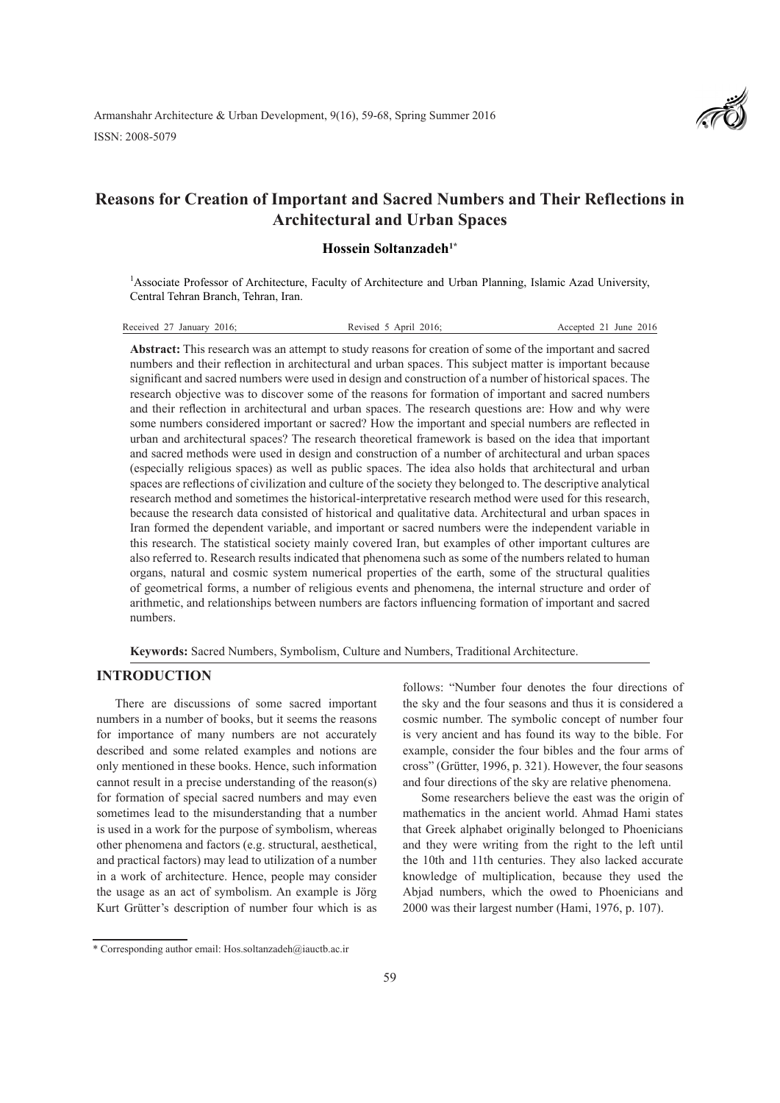

# **Reasons for Creation of Important and Sacred Numbers and Their Reflections in Architectural and Urban Spaces**

# **Hossein Soltanzadeh1\***

<sup>1</sup> Associate Professor of Architecture, Faculty of Architecture and Urban Planning, Islamic Azad University, Central Tehran Branch, Tehran, Iran.

| Received 27 January 2016: | Revised 5 April 2016: | Accepted 21 June 2016 |
|---------------------------|-----------------------|-----------------------|
|---------------------------|-----------------------|-----------------------|

**Abstract:** This research was an attempt to study reasons for creation of some of the important and sacred numbers and their reflection in architectural and urban spaces. This subject matter is important because significant and sacred numbers were used in design and construction of a number of historical spaces. The research objective was to discover some of the reasons for formation of important and sacred numbers and their reflection in architectural and urban spaces. The research questions are: How and why were some numbers considered important or sacred? How the important and special numbers are reflected in urban and architectural spaces? The research theoretical framework is based on the idea that important and sacred methods were used in design and construction of a number of architectural and urban spaces (especially religious spaces) as well as public spaces. The idea also holds that architectural and urban spaces are reflections of civilization and culture of the society they belonged to. The descriptive analytical research method and sometimes the historical-interpretative research method were used for this research, because the research data consisted of historical and qualitative data. Architectural and urban spaces in Iran formed the dependent variable, and important or sacred numbers were the independent variable in this research. The statistical society mainly covered Iran, but examples of other important cultures are also referred to. Research results indicated that phenomena such as some of the numbers related to human organs, natural and cosmic system numerical properties of the earth, some of the structural qualities of geometrical forms, a number of religious events and phenomena, the internal structure and order of arithmetic, and relationships between numbers are factors influencing formation of important and sacred numbers.

**Keywords:** Sacred Numbers, Symbolism, Culture and Numbers, Traditional Architecture.

# **INTRODUCTION**

There are discussions of some sacred important numbers in a number of books, but it seems the reasons for importance of many numbers are not accurately described and some related examples and notions are only mentioned in these books. Hence, such information cannot result in a precise understanding of the reason(s) for formation of special sacred numbers and may even sometimes lead to the misunderstanding that a number is used in a work for the purpose of symbolism, whereas other phenomena and factors (e.g. structural, aesthetical, and practical factors) may lead to utilization of a number in a work of architecture. Hence, people may consider the usage as an act of symbolism. An example is Jörg Kurt Grütter's description of number four which is as

follows: "Number four denotes the four directions of the sky and the four seasons and thus it is considered a cosmic number. The symbolic concept of number four is very ancient and has found its way to the bible. For example, consider the four bibles and the four arms of cross" (Grütter, 1996, p. 321). However, the four seasons and four directions of the sky are relative phenomena.

Some researchers believe the east was the origin of mathematics in the ancient world. Ahmad Hami states that Greek alphabet originally belonged to Phoenicians and they were writing from the right to the left until the 10th and 11th centuries. They also lacked accurate knowledge of multiplication, because they used the Abjad numbers, which the owed to Phoenicians and 2000 was their largest number (Hami, 1976, p. 107).

<sup>\*</sup> Corresponding author email: Hos.soltanzadeh@iauctb.ac.ir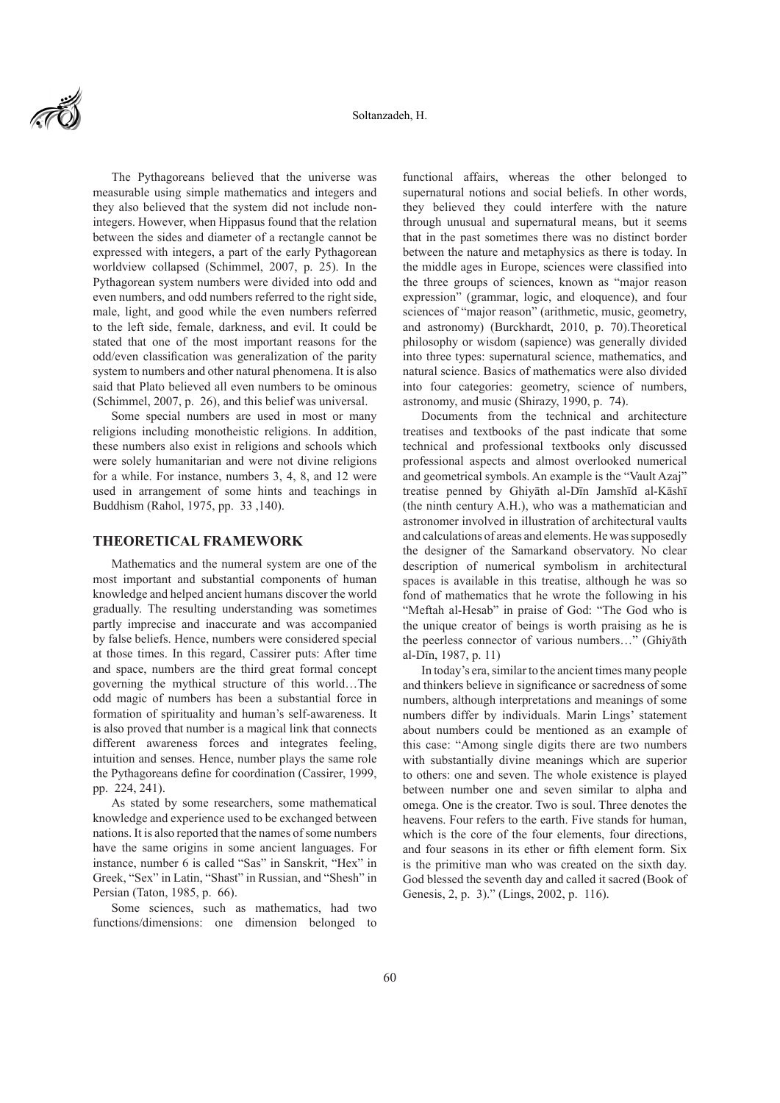

The Pythagoreans believed that the universe was measurable using simple mathematics and integers and they also believed that the system did not include nonintegers. However, when Hippasus found that the relation between the sides and diameter of a rectangle cannot be expressed with integers, a part of the early Pythagorean worldview collapsed (Schimmel, 2007, p. 25). In the Pythagorean system numbers were divided into odd and even numbers, and odd numbers referred to the right side, male, light, and good while the even numbers referred to the left side, female, darkness, and evil. It could be stated that one of the most important reasons for the odd/even classification was generalization of the parity system to numbers and other natural phenomena. It is also said that Plato believed all even numbers to be ominous (Schimmel, 2007, p. 26), and this belief was universal.

Some special numbers are used in most or many religions including monotheistic religions. In addition, these numbers also exist in religions and schools which were solely humanitarian and were not divine religions for a while. For instance, numbers 3, 4, 8, and 12 were used in arrangement of some hints and teachings in Buddhism (Rahol, 1975, pp. 33 ,140).

#### **THEORETICAL FRAMEWORK**

Mathematics and the numeral system are one of the most important and substantial components of human knowledge and helped ancient humans discover the world gradually. The resulting understanding was sometimes partly imprecise and inaccurate and was accompanied by false beliefs. Hence, numbers were considered special at those times. In this regard, Cassirer puts: After time and space, numbers are the third great formal concept governing the mythical structure of this world…The odd magic of numbers has been a substantial force in formation of spirituality and human's self-awareness. It is also proved that number is a magical link that connects different awareness forces and integrates feeling, intuition and senses. Hence, number plays the same role the Pythagoreans define for coordination (Cassirer, 1999, pp. 224, 241).

As stated by some researchers, some mathematical knowledge and experience used to be exchanged between nations. It is also reported that the names of some numbers have the same origins in some ancient languages. For instance, number 6 is called "Sas" in Sanskrit, "Hex" in Greek, "Sex" in Latin, "Shast" in Russian, and "Shesh" in Persian (Taton, 1985, p. 66).

Some sciences, such as mathematics, had two functions/dimensions: one dimension belonged to functional affairs, whereas the other belonged to supernatural notions and social beliefs. In other words, they believed they could interfere with the nature through unusual and supernatural means, but it seems that in the past sometimes there was no distinct border between the nature and metaphysics as there is today. In the middle ages in Europe, sciences were classified into the three groups of sciences, known as "major reason expression" (grammar, logic, and eloquence), and four sciences of "major reason" (arithmetic, music, geometry, and astronomy) (Burckhardt, 2010, p. 70).Theoretical philosophy or wisdom (sapience) was generally divided into three types: supernatural science, mathematics, and natural science. Basics of mathematics were also divided into four categories: geometry, science of numbers, astronomy, and music (Shirazy, 1990, p. 74).

Documents from the technical and architecture treatises and textbooks of the past indicate that some technical and professional textbooks only discussed professional aspects and almost overlooked numerical and geometrical symbols. An example is the "Vault Azaj" treatise penned by Ghiyāth al-Dīn Jamshīd al-Kāshī (the ninth century A.H.), who was a mathematician and astronomer involved in illustration of architectural vaults and calculations of areas and elements. He was supposedly the designer of the Samarkand observatory. No clear description of numerical symbolism in architectural spaces is available in this treatise, although he was so fond of mathematics that he wrote the following in his "Meftah al-Hesab" in praise of God: "The God who is the unique creator of beings is worth praising as he is the peerless connector of various numbers…" (Ghiyāth al-Dīn, 1987, p. 11)

In today's era, similar to the ancient times many people and thinkers believe in significance or sacredness of some numbers, although interpretations and meanings of some numbers differ by individuals. Marin Lings' statement about numbers could be mentioned as an example of this case: "Among single digits there are two numbers with substantially divine meanings which are superior to others: one and seven. The whole existence is played between number one and seven similar to alpha and omega. One is the creator. Two is soul. Three denotes the heavens. Four refers to the earth. Five stands for human, which is the core of the four elements, four directions, and four seasons in its ether or fifth element form. Six is the primitive man who was created on the sixth day. God blessed the seventh day and called it sacred (Book of Genesis, 2, p. 3)." (Lings, 2002, p. 116).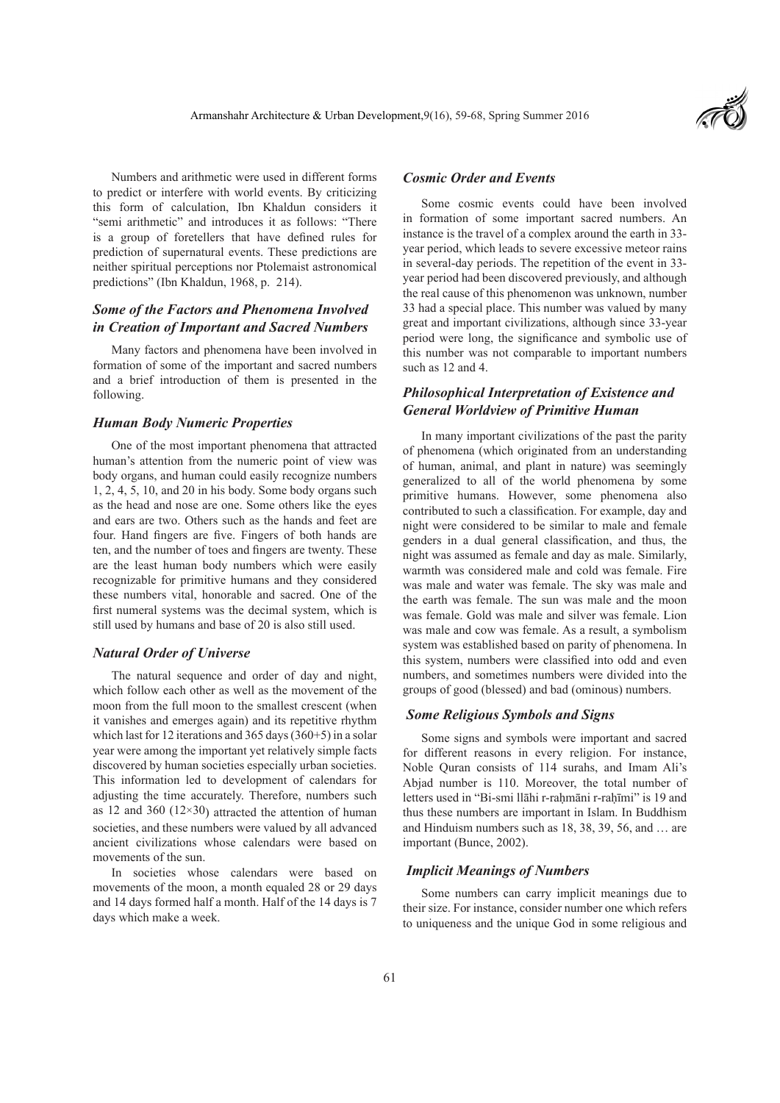Numbers and arithmetic were used in different forms to predict or interfere with world events. By criticizing this form of calculation, Ibn Khaldun considers it "semi arithmetic" and introduces it as follows: "There is a group of foretellers that have defined rules for prediction of supernatural events. These predictions are neither spiritual perceptions nor Ptolemaist astronomical predictions" (Ibn Khaldun, 1968, p. 214).

# *Some of the Factors and Phenomena Involved in Creation of Important and Sacred Numbers*

Many factors and phenomena have been involved in formation of some of the important and sacred numbers and a brief introduction of them is presented in the following.

#### *Human Body Numeric Properties*

One of the most important phenomena that attracted human's attention from the numeric point of view was body organs, and human could easily recognize numbers 1, 2, 4, 5, 10, and 20 in his body. Some body organs such as the head and nose are one. Some others like the eyes and ears are two. Others such as the hands and feet are four. Hand fingers are five. Fingers of both hands are ten, and the number of toes and fingers are twenty. These are the least human body numbers which were easily recognizable for primitive humans and they considered these numbers vital, honorable and sacred. One of the first numeral systems was the decimal system, which is still used by humans and base of 20 is also still used.

### *Natural Order of Universe*

The natural sequence and order of day and night, which follow each other as well as the movement of the moon from the full moon to the smallest crescent (when it vanishes and emerges again) and its repetitive rhythm which last for 12 iterations and 365 days (360+5) in a solar year were among the important yet relatively simple facts discovered by human societies especially urban societies. This information led to development of calendars for adjusting the time accurately. Therefore, numbers such as 12 and 360  $(12\times30)$  attracted the attention of human societies, and these numbers were valued by all advanced ancient civilizations whose calendars were based on movements of the sun.

In societies whose calendars were based on movements of the moon, a month equaled 28 or 29 days and 14 days formed half a month. Half of the 14 days is 7 days which make a week.

#### *Cosmic Order and Events*

Some cosmic events could have been involved in formation of some important sacred numbers. An instance is the travel of a complex around the earth in 33 year period, which leads to severe excessive meteor rains in several-day periods. The repetition of the event in 33 year period had been discovered previously, and although the real cause of this phenomenon was unknown, number 33 had a special place. This number was valued by many great and important civilizations, although since 33-year period were long, the significance and symbolic use of this number was not comparable to important numbers such as 12 and 4.

# *Philosophical Interpretation of Existence and General Worldview of Primitive Human*

In many important civilizations of the past the parity of phenomena (which originated from an understanding of human, animal, and plant in nature) was seemingly generalized to all of the world phenomena by some primitive humans. However, some phenomena also contributed to such a classification. For example, day and night were considered to be similar to male and female genders in a dual general classification, and thus, the night was assumed as female and day as male. Similarly, warmth was considered male and cold was female. Fire was male and water was female. The sky was male and the earth was female. The sun was male and the moon was female. Gold was male and silver was female. Lion was male and cow was female. As a result, a symbolism system was established based on parity of phenomena. In this system, numbers were classified into odd and even numbers, and sometimes numbers were divided into the groups of good (blessed) and bad (ominous) numbers.

#### *Some Religious Symbols and Signs*

Some signs and symbols were important and sacred for different reasons in every religion. For instance, Noble Quran consists of 114 surahs, and Imam Ali's Abjad number is 110. Moreover, the total number of letters used in "Bi-smi llāhi r-rahmāni r-rahīmi" is 19 and thus these numbers are important in Islam. In Buddhism and Hinduism numbers such as 18, 38, 39, 56, and … are important (Bunce, 2002).

#### *Implicit Meanings of Numbers*

Some numbers can carry implicit meanings due to their size. For instance, consider number one which refers to uniqueness and the unique God in some religious and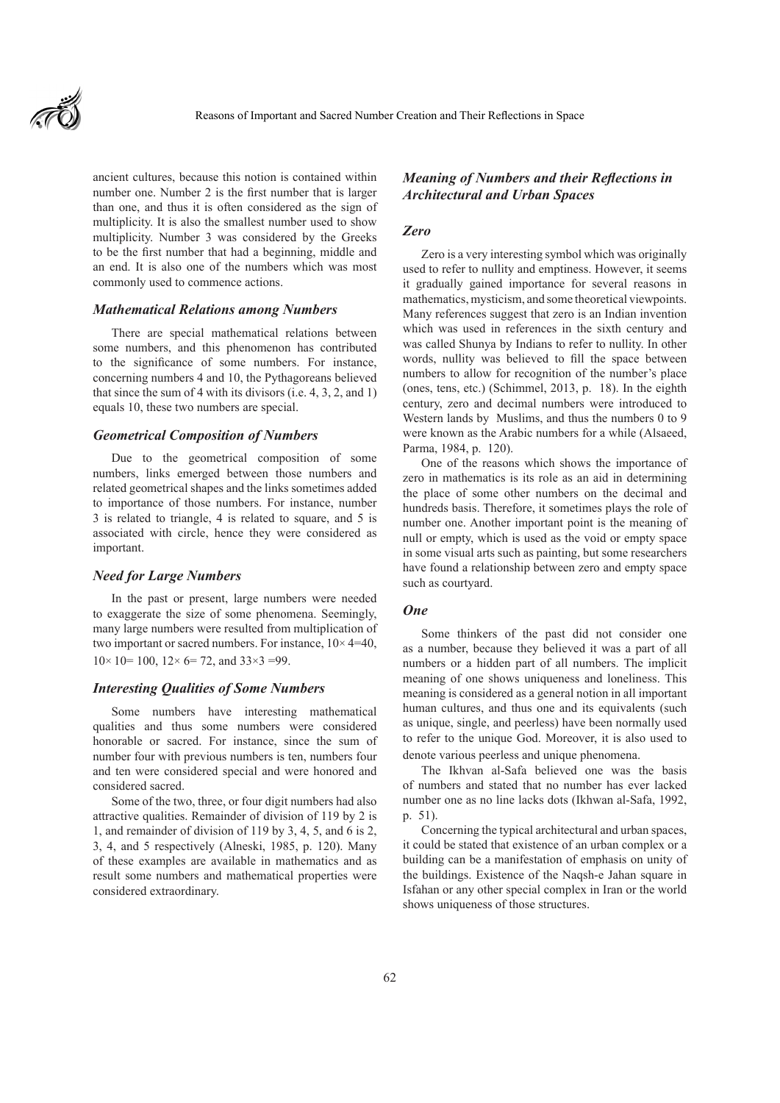

ancient cultures, because this notion is contained within number one. Number 2 is the first number that is larger than one, and thus it is often considered as the sign of multiplicity. It is also the smallest number used to show multiplicity. Number 3 was considered by the Greeks to be the first number that had a beginning, middle and an end. It is also one of the numbers which was most commonly used to commence actions.

#### *Mathematical Relations among Numbers*

There are special mathematical relations between some numbers, and this phenomenon has contributed to the significance of some numbers. For instance, concerning numbers 4 and 10, the Pythagoreans believed that since the sum of 4 with its divisors (i.e. 4, 3, 2, and 1) equals 10, these two numbers are special.

### *Geometrical Composition of Numbers*

Due to the geometrical composition of some numbers, links emerged between those numbers and related geometrical shapes and the links sometimes added to importance of those numbers. For instance, number 3 is related to triangle, 4 is related to square, and 5 is associated with circle, hence they were considered as important.

#### *Need for Large Numbers*

In the past or present, large numbers were needed to exaggerate the size of some phenomena. Seemingly, many large numbers were resulted from multiplication of two important or sacred numbers. For instance, 10× 4=40,  $10\times 10 = 100$ ,  $12\times 6 = 72$ , and  $33\times 3 = 99$ .

#### *Interesting Qualities of Some Numbers*

Some numbers have interesting mathematical qualities and thus some numbers were considered honorable or sacred. For instance, since the sum of number four with previous numbers is ten, numbers four and ten were considered special and were honored and considered sacred.

Some of the two, three, or four digit numbers had also attractive qualities. Remainder of division of 119 by 2 is 1, and remainder of division of 119 by 3, 4, 5, and 6 is 2, 3, 4, and 5 respectively (Alneski, 1985, p. 120). Many of these examples are available in mathematics and as result some numbers and mathematical properties were considered extraordinary.

# *Meaning of Numbers and their Reflections in Architectural and Urban Spaces*

#### *Zero*

Zero is a very interesting symbol which was originally used to refer to nullity and emptiness. However, it seems it gradually gained importance for several reasons in mathematics, mysticism, and some theoretical viewpoints. Many references suggest that zero is an Indian invention which was used in references in the sixth century and was called Shunya by Indians to refer to nullity. In other words, nullity was believed to fill the space between numbers to allow for recognition of the number's place (ones, tens, etc.) (Schimmel, 2013, p. 18). In the eighth century, zero and decimal numbers were introduced to Western lands by Muslims, and thus the numbers 0 to 9 were known as the Arabic numbers for a while (Alsaeed, Parma, 1984, p. 120).

One of the reasons which shows the importance of zero in mathematics is its role as an aid in determining the place of some other numbers on the decimal and hundreds basis. Therefore, it sometimes plays the role of number one. Another important point is the meaning of null or empty, which is used as the void or empty space in some visual arts such as painting, but some researchers have found a relationship between zero and empty space such as courtyard.

#### *One*

Some thinkers of the past did not consider one as a number, because they believed it was a part of all numbers or a hidden part of all numbers. The implicit meaning of one shows uniqueness and loneliness. This meaning is considered as a general notion in all important human cultures, and thus one and its equivalents (such as unique, single, and peerless) have been normally used to refer to the unique God. Moreover, it is also used to denote various peerless and unique phenomena.

The Ikhvan al-Safa believed one was the basis of numbers and stated that no number has ever lacked number one as no line lacks dots (Ikhwan al-Safa, 1992, p. 51).

Concerning the typical architectural and urban spaces, it could be stated that existence of an urban complex or a building can be a manifestation of emphasis on unity of the buildings. Existence of the Naqsh-e Jahan square in Isfahan or any other special complex in Iran or the world shows uniqueness of those structures.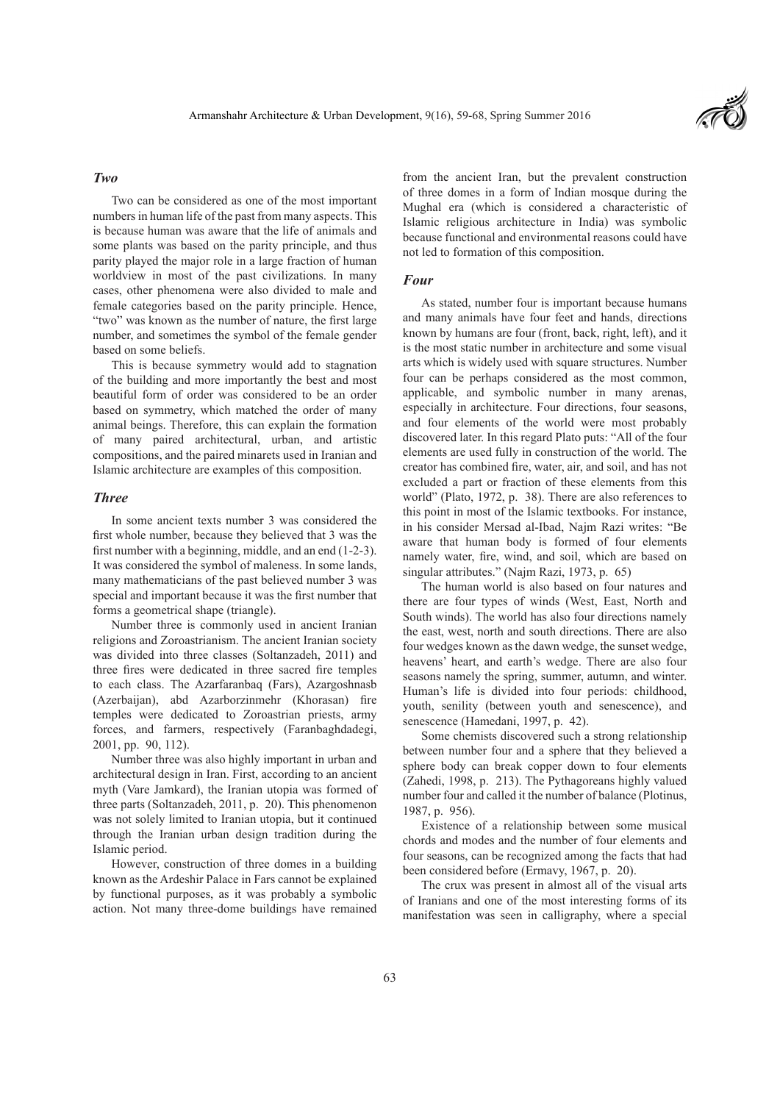### *Two*

Two can be considered as one of the most important numbers in human life of the past from many aspects. This is because human was aware that the life of animals and some plants was based on the parity principle, and thus parity played the major role in a large fraction of human worldview in most of the past civilizations. In many cases, other phenomena were also divided to male and female categories based on the parity principle. Hence, "two" was known as the number of nature, the first large number, and sometimes the symbol of the female gender based on some beliefs.

This is because symmetry would add to stagnation of the building and more importantly the best and most beautiful form of order was considered to be an order based on symmetry, which matched the order of many animal beings. Therefore, this can explain the formation of many paired architectural, urban, and artistic compositions, and the paired minarets used in Iranian and Islamic architecture are examples of this composition.

#### *Three*

In some ancient texts number 3 was considered the first whole number, because they believed that 3 was the first number with a beginning, middle, and an end (1-2-3). It was considered the symbol of maleness. In some lands, many mathematicians of the past believed number 3 was special and important because it was the first number that forms a geometrical shape (triangle).

Number three is commonly used in ancient Iranian religions and Zoroastrianism. The ancient Iranian society was divided into three classes (Soltanzadeh, 2011) and three fires were dedicated in three sacred fire temples to each class. The Azarfaranbaq (Fars), Azargoshnasb (Azerbaijan), abd Azarborzinmehr (Khorasan) fire temples were dedicated to Zoroastrian priests, army forces, and farmers, respectively (Faranbaghdadegi, 2001, pp. 90, 112).

Number three was also highly important in urban and architectural design in Iran. First, according to an ancient myth (Vare Jamkard), the Iranian utopia was formed of three parts (Soltanzadeh, 2011, p. 20). This phenomenon was not solely limited to Iranian utopia, but it continued through the Iranian urban design tradition during the Islamic period.

However, construction of three domes in a building known as the Ardeshir Palace in Fars cannot be explained by functional purposes, as it was probably a symbolic action. Not many three-dome buildings have remained from the ancient Iran, but the prevalent construction of three domes in a form of Indian mosque during the Mughal era (which is considered a characteristic of Islamic religious architecture in India) was symbolic because functional and environmental reasons could have not led to formation of this composition.

#### *Four*

As stated, number four is important because humans and many animals have four feet and hands, directions known by humans are four (front, back, right, left), and it is the most static number in architecture and some visual arts which is widely used with square structures. Number four can be perhaps considered as the most common, applicable, and symbolic number in many arenas, especially in architecture. Four directions, four seasons, and four elements of the world were most probably discovered later. In this regard Plato puts: "All of the four elements are used fully in construction of the world. The creator has combined fire, water, air, and soil, and has not excluded a part or fraction of these elements from this world" (Plato, 1972, p. 38). There are also references to this point in most of the Islamic textbooks. For instance, in his consider Mersad al-Ibad, Najm Razi writes: "Be aware that human body is formed of four elements namely water, fire, wind, and soil, which are based on singular attributes." (Najm Razi, 1973, p. 65)

The human world is also based on four natures and there are four types of winds (West, East, North and South winds). The world has also four directions namely the east, west, north and south directions. There are also four wedges known as the dawn wedge, the sunset wedge, heavens' heart, and earth's wedge. There are also four seasons namely the spring, summer, autumn, and winter. Human's life is divided into four periods: childhood, youth, senility (between youth and senescence), and senescence (Hamedani, 1997, p. 42).

Some chemists discovered such a strong relationship between number four and a sphere that they believed a sphere body can break copper down to four elements (Zahedi, 1998, p. 213). The Pythagoreans highly valued number four and called it the number of balance (Plotinus, 1987, p. 956).

Existence of a relationship between some musical chords and modes and the number of four elements and four seasons, can be recognized among the facts that had been considered before (Ermavy, 1967, p. 20).

The crux was present in almost all of the visual arts of Iranians and one of the most interesting forms of its manifestation was seen in calligraphy, where a special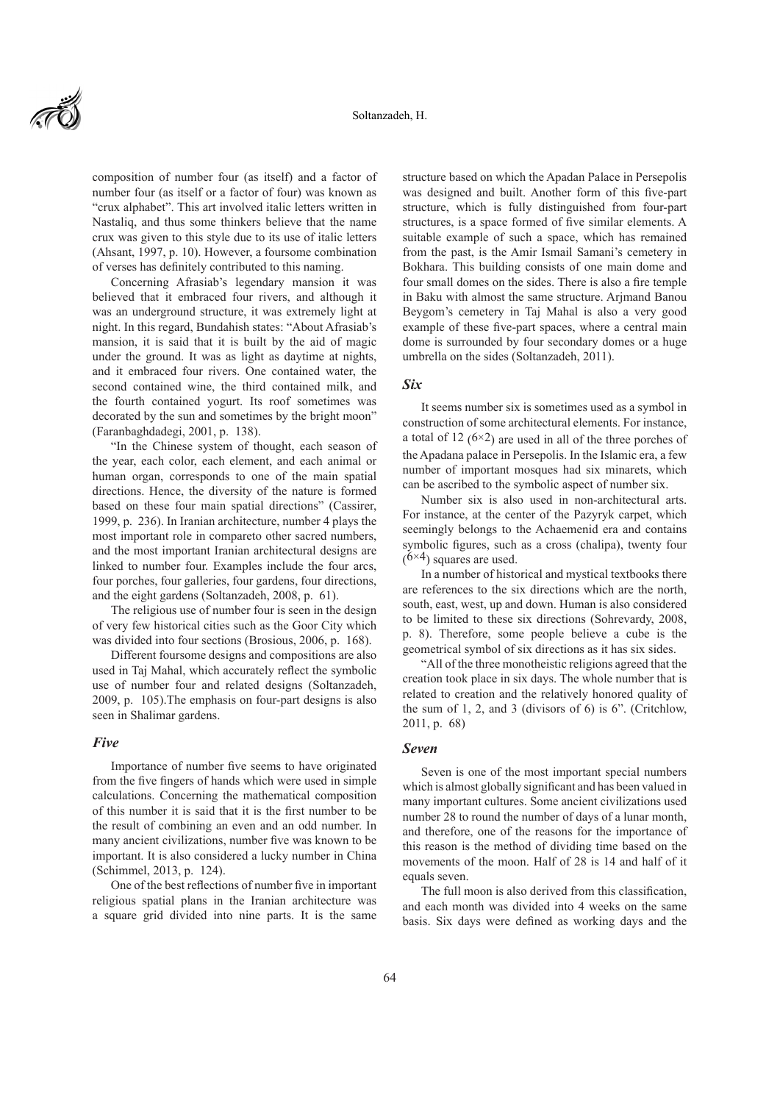composition of number four (as itself) and a factor of number four (as itself or a factor of four) was known as "crux alphabet". This art involved italic letters written in Nastaliq, and thus some thinkers believe that the name crux was given to this style due to its use of italic letters (Ahsant, 1997, p. 10). However, a foursome combination of verses has definitely contributed to this naming.

Concerning Afrasiab's legendary mansion it was believed that it embraced four rivers, and although it was an underground structure, it was extremely light at night. In this regard, Bundahish states: "About Afrasiab's mansion, it is said that it is built by the aid of magic under the ground. It was as light as daytime at nights, and it embraced four rivers. One contained water, the second contained wine, the third contained milk, and the fourth contained yogurt. Its roof sometimes was decorated by the sun and sometimes by the bright moon" (Faranbaghdadegi, 2001, p. 138).

"In the Chinese system of thought, each season of the year, each color, each element, and each animal or human organ, corresponds to one of the main spatial directions. Hence, the diversity of the nature is formed based on these four main spatial directions" (Cassirer, 1999, p. 236). In Iranian architecture, number 4 plays the most important role in compareto other sacred numbers, and the most important Iranian architectural designs are linked to number four. Examples include the four arcs, four porches, four galleries, four gardens, four directions, and the eight gardens (Soltanzadeh, 2008, p. 61).

The religious use of number four is seen in the design of very few historical cities such as the Goor City which was divided into four sections (Brosious, 2006, p. 168).

Different foursome designs and compositions are also used in Taj Mahal, which accurately reflect the symbolic use of number four and related designs (Soltanzadeh, 2009, p. 105).The emphasis on four-part designs is also seen in Shalimar gardens.

#### *Five*

Importance of number five seems to have originated from the five fingers of hands which were used in simple calculations. Concerning the mathematical composition of this number it is said that it is the first number to be the result of combining an even and an odd number. In many ancient civilizations, number five was known to be important. It is also considered a lucky number in China (Schimmel, 2013, p. 124).

One of the best reflections of number five in important religious spatial plans in the Iranian architecture was a square grid divided into nine parts. It is the same structure based on which the Apadan Palace in Persepolis was designed and built. Another form of this five-part structure, which is fully distinguished from four-part structures, is a space formed of five similar elements. A suitable example of such a space, which has remained from the past, is the Amir Ismail Samani's cemetery in Bokhara. This building consists of one main dome and four small domes on the sides. There is also a fire temple in Baku with almost the same structure. Arjmand Banou Beygom's cemetery in Taj Mahal is also a very good example of these five-part spaces, where a central main dome is surrounded by four secondary domes or a huge umbrella on the sides (Soltanzadeh, 2011).

#### *Six*

It seems number six is sometimes used as a symbol in construction of some architectural elements. For instance, a total of 12  $(6\times2)$  are used in all of the three porches of the Apadana palace in Persepolis. In the Islamic era, a few number of important mosques had six minarets, which can be ascribed to the symbolic aspect of number six.

Number six is also used in non-architectural arts. For instance, at the center of the Pazyryk carpet, which seemingly belongs to the Achaemenid era and contains symbolic figures, such as a cross (chalipa), twenty four  $(6\times4)$  squares are used.

In a number of historical and mystical textbooks there are references to the six directions which are the north, south, east, west, up and down. Human is also considered to be limited to these six directions (Sohrevardy, 2008, p. 8). Therefore, some people believe a cube is the geometrical symbol of six directions as it has six sides.

"All of the three monotheistic religions agreed that the creation took place in six days. The whole number that is related to creation and the relatively honored quality of the sum of 1, 2, and 3 (divisors of 6) is 6". (Critchlow, 2011, p. 68)

#### *Seven*

Seven is one of the most important special numbers which is almost globally significant and has been valued in many important cultures. Some ancient civilizations used number 28 to round the number of days of a lunar month, and therefore, one of the reasons for the importance of this reason is the method of dividing time based on the movements of the moon. Half of 28 is 14 and half of it equals seven.

The full moon is also derived from this classification, and each month was divided into 4 weeks on the same basis. Six days were defined as working days and the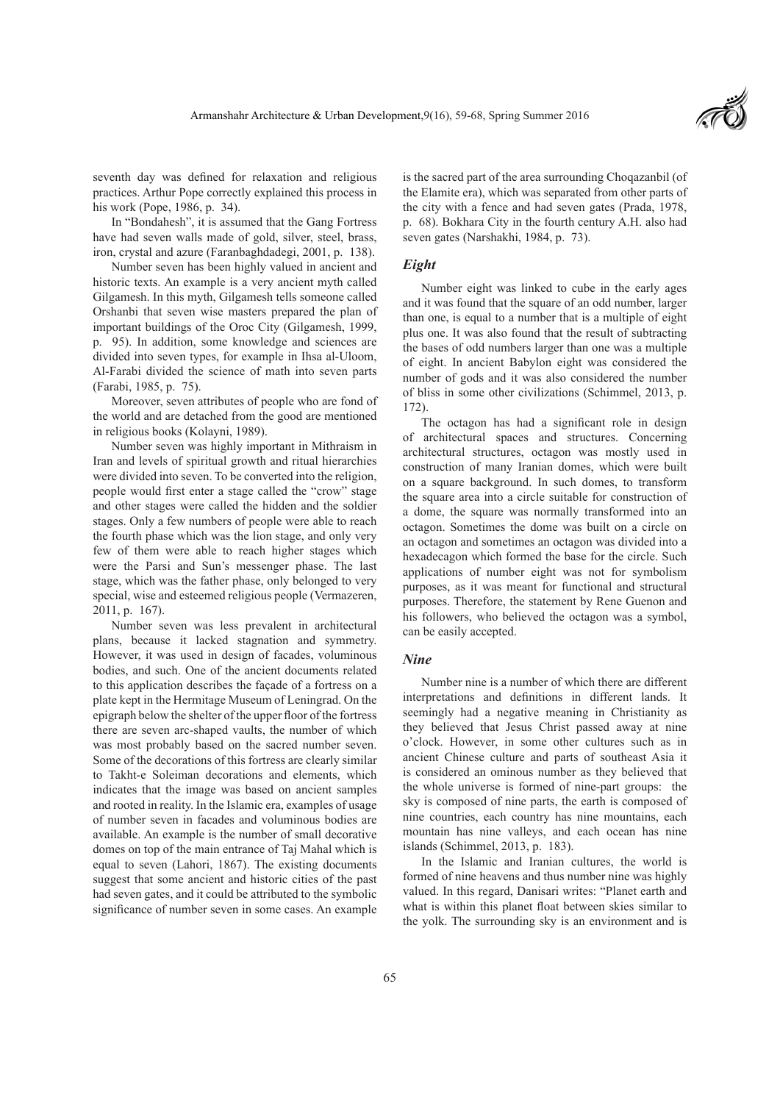

seventh day was defined for relaxation and religious practices. Arthur Pope correctly explained this process in his work (Pope, 1986, p. 34).

In "Bondahesh", it is assumed that the Gang Fortress have had seven walls made of gold, silver, steel, brass, iron, crystal and azure (Faranbaghdadegi, 2001, p. 138).

Number seven has been highly valued in ancient and historic texts. An example is a very ancient myth called Gilgamesh. In this myth, Gilgamesh tells someone called Orshanbi that seven wise masters prepared the plan of important buildings of the Oroc City (Gilgamesh, 1999, p. 95). In addition, some knowledge and sciences are divided into seven types, for example in Ihsa al-Uloom, Al-Farabi divided the science of math into seven parts (Farabi, 1985, p. 75).

Moreover, seven attributes of people who are fond of the world and are detached from the good are mentioned in religious books (Kolayni, 1989).

Number seven was highly important in Mithraism in Iran and levels of spiritual growth and ritual hierarchies were divided into seven. To be converted into the religion, people would first enter a stage called the "crow" stage and other stages were called the hidden and the soldier stages. Only a few numbers of people were able to reach the fourth phase which was the lion stage, and only very few of them were able to reach higher stages which were the Parsi and Sun's messenger phase. The last stage, which was the father phase, only belonged to very special, wise and esteemed religious people (Vermazeren, 2011, p. 167).

Number seven was less prevalent in architectural plans, because it lacked stagnation and symmetry. However, it was used in design of facades, voluminous bodies, and such. One of the ancient documents related to this application describes the façade of a fortress on a plate kept in the Hermitage Museum of Leningrad. On the epigraph below the shelter of the upper floor of the fortress there are seven arc-shaped vaults, the number of which was most probably based on the sacred number seven. Some of the decorations of this fortress are clearly similar to Takht-e Soleiman decorations and elements, which indicates that the image was based on ancient samples and rooted in reality. In the Islamic era, examples of usage of number seven in facades and voluminous bodies are available. An example is the number of small decorative domes on top of the main entrance of Taj Mahal which is equal to seven (Lahori, 1867). The existing documents suggest that some ancient and historic cities of the past had seven gates, and it could be attributed to the symbolic significance of number seven in some cases. An example

is the sacred part of the area surrounding Choqazanbil (of the Elamite era), which was separated from other parts of the city with a fence and had seven gates (Prada, 1978, p. 68). Bokhara City in the fourth century A.H. also had seven gates (Narshakhi, 1984, p. 73).

#### *Eight*

Number eight was linked to cube in the early ages and it was found that the square of an odd number, larger than one, is equal to a number that is a multiple of eight plus one. It was also found that the result of subtracting the bases of odd numbers larger than one was a multiple of eight. In ancient Babylon eight was considered the number of gods and it was also considered the number of bliss in some other civilizations (Schimmel, 2013, p. 172).

The octagon has had a significant role in design of architectural spaces and structures. Concerning architectural structures, octagon was mostly used in construction of many Iranian domes, which were built on a square background. In such domes, to transform the square area into a circle suitable for construction of a dome, the square was normally transformed into an octagon. Sometimes the dome was built on a circle on an octagon and sometimes an octagon was divided into a hexadecagon which formed the base for the circle. Such applications of number eight was not for symbolism purposes, as it was meant for functional and structural purposes. Therefore, the statement by Rene Guenon and his followers, who believed the octagon was a symbol, can be easily accepted.

#### *Nine*

Number nine is a number of which there are different interpretations and definitions in different lands. It seemingly had a negative meaning in Christianity as they believed that Jesus Christ passed away at nine o'clock. However, in some other cultures such as in ancient Chinese culture and parts of southeast Asia it is considered an ominous number as they believed that the whole universe is formed of nine-part groups: the sky is composed of nine parts, the earth is composed of nine countries, each country has nine mountains, each mountain has nine valleys, and each ocean has nine islands (Schimmel, 2013, p. 183).

In the Islamic and Iranian cultures, the world is formed of nine heavens and thus number nine was highly valued. In this regard, Danisari writes: "Planet earth and what is within this planet float between skies similar to the yolk. The surrounding sky is an environment and is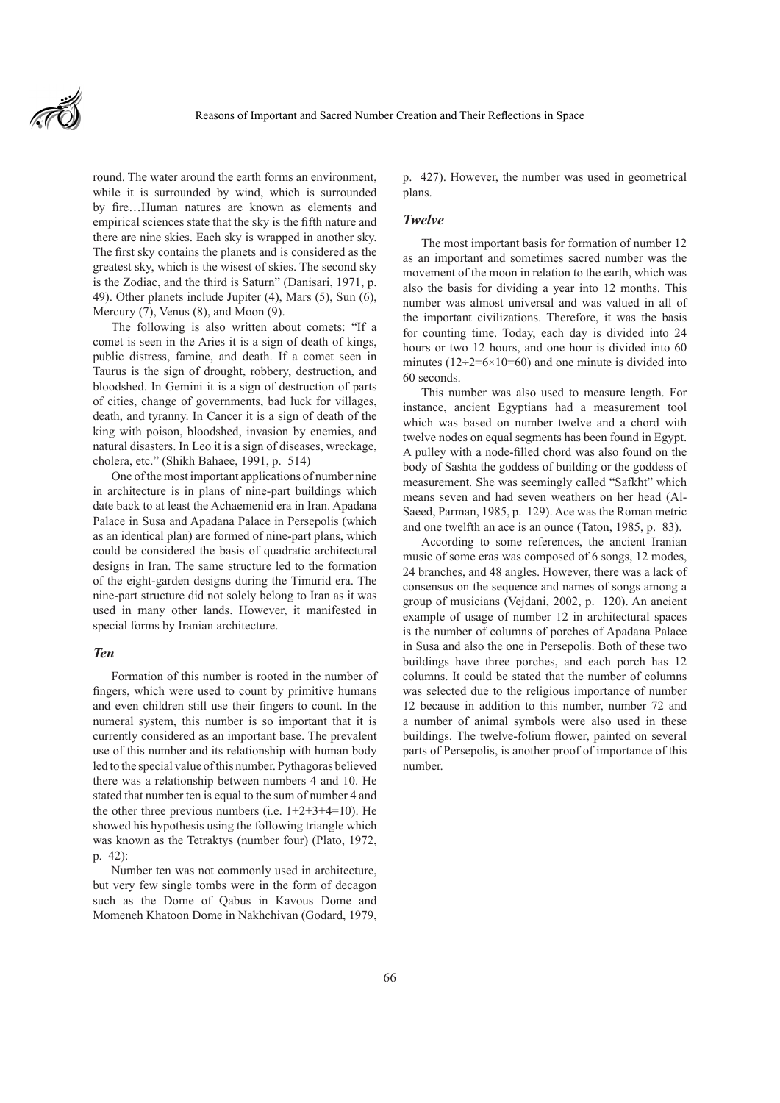

round. The water around the earth forms an environment, while it is surrounded by wind, which is surrounded by fire…Human natures are known as elements and empirical sciences state that the sky is the fifth nature and there are nine skies. Each sky is wrapped in another sky. The first sky contains the planets and is considered as the greatest sky, which is the wisest of skies. The second sky is the Zodiac, and the third is Saturn" (Danisari, 1971, p. 49). Other planets include Jupiter (4), Mars (5), Sun (6), Mercury (7), Venus (8), and Moon (9).

The following is also written about comets: "If a comet is seen in the Aries it is a sign of death of kings, public distress, famine, and death. If a comet seen in Taurus is the sign of drought, robbery, destruction, and bloodshed. In Gemini it is a sign of destruction of parts of cities, change of governments, bad luck for villages, death, and tyranny. In Cancer it is a sign of death of the king with poison, bloodshed, invasion by enemies, and natural disasters. In Leo it is a sign of diseases, wreckage, cholera, etc." (Shikh Bahaee, 1991, p. 514)

One of the most important applications of number nine in architecture is in plans of nine-part buildings which date back to at least the Achaemenid era in Iran. Apadana Palace in Susa and Apadana Palace in Persepolis (which as an identical plan) are formed of nine-part plans, which could be considered the basis of quadratic architectural designs in Iran. The same structure led to the formation of the eight-garden designs during the Timurid era. The nine-part structure did not solely belong to Iran as it was used in many other lands. However, it manifested in special forms by Iranian architecture.

#### *Ten*

Formation of this number is rooted in the number of fingers, which were used to count by primitive humans and even children still use their fingers to count. In the numeral system, this number is so important that it is currently considered as an important base. The prevalent use of this number and its relationship with human body led to the special value of this number. Pythagoras believed there was a relationship between numbers 4 and 10. He stated that number ten is equal to the sum of number 4 and the other three previous numbers (i.e.  $1+2+3+4=10$ ). He showed his hypothesis using the following triangle which was known as the Tetraktys (number four) (Plato, 1972, p. 42):

Number ten was not commonly used in architecture, but very few single tombs were in the form of decagon such as the Dome of Qabus in Kavous Dome and Momeneh Khatoon Dome in Nakhchivan (Godard, 1979, p. 427). However, the number was used in geometrical plans.

## *Twelve*

The most important basis for formation of number 12 as an important and sometimes sacred number was the movement of the moon in relation to the earth, which was also the basis for dividing a year into 12 months. This number was almost universal and was valued in all of the important civilizations. Therefore, it was the basis for counting time. Today, each day is divided into 24 hours or two 12 hours, and one hour is divided into 60 minutes  $(12\div 2=6\times 10=60)$  and one minute is divided into 60 seconds.

This number was also used to measure length. For instance, ancient Egyptians had a measurement tool which was based on number twelve and a chord with twelve nodes on equal segments has been found in Egypt. A pulley with a node-filled chord was also found on the body of Sashta the goddess of building or the goddess of measurement. She was seemingly called "Safkht" which means seven and had seven weathers on her head (Al-Saeed, Parman, 1985, p. 129). Ace was the Roman metric and one twelfth an ace is an ounce (Taton, 1985, p. 83).

According to some references, the ancient Iranian music of some eras was composed of 6 songs, 12 modes, 24 branches, and 48 angles. However, there was a lack of consensus on the sequence and names of songs among a group of musicians (Vejdani, 2002, p. 120). An ancient example of usage of number 12 in architectural spaces is the number of columns of porches of Apadana Palace in Susa and also the one in Persepolis. Both of these two buildings have three porches, and each porch has 12 columns. It could be stated that the number of columns was selected due to the religious importance of number 12 because in addition to this number, number 72 and a number of animal symbols were also used in these buildings. The twelve-folium flower, painted on several parts of Persepolis, is another proof of importance of this number.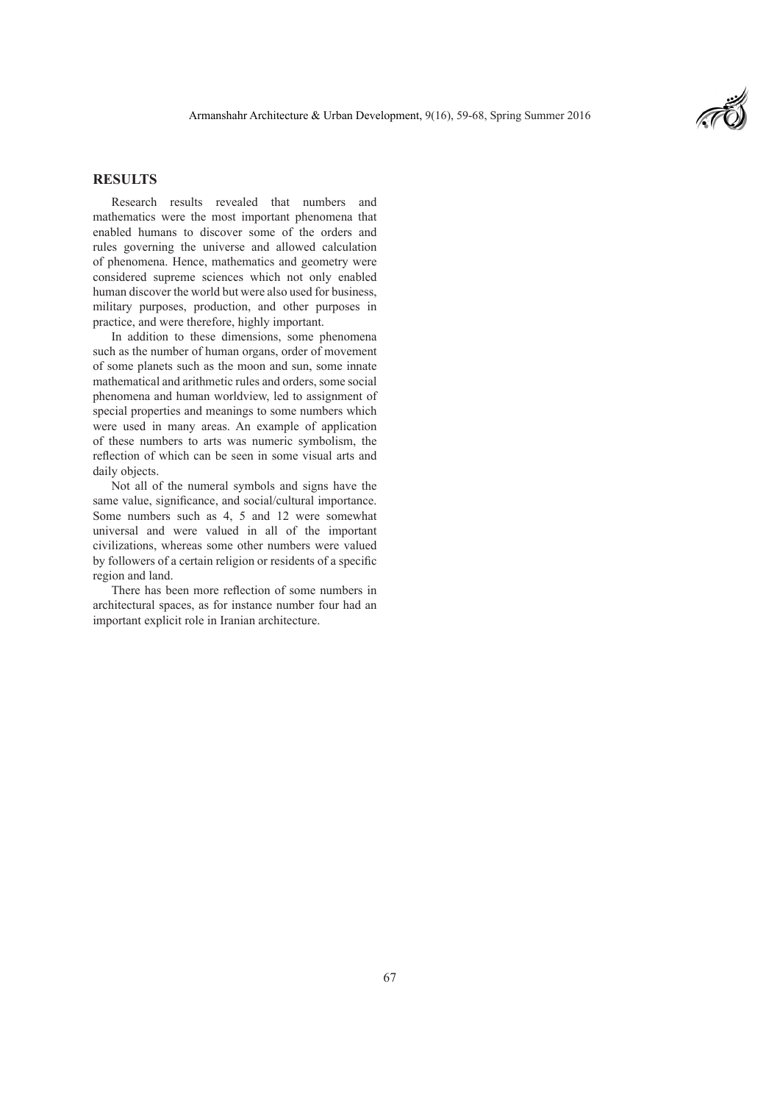

# **RESULTS**

Research results revealed that numbers and mathematics were the most important phenomena that enabled humans to discover some of the orders and rules governing the universe and allowed calculation of phenomena. Hence, mathematics and geometry were considered supreme sciences which not only enabled human discover the world but were also used for business, military purposes, production, and other purposes in practice, and were therefore, highly important.

In addition to these dimensions, some phenomena such as the number of human organs, order of movement of some planets such as the moon and sun, some innate mathematical and arithmetic rules and orders, some social phenomena and human worldview, led to assignment of special properties and meanings to some numbers which were used in many areas. An example of application of these numbers to arts was numeric symbolism, the reflection of which can be seen in some visual arts and daily objects.

Not all of the numeral symbols and signs have the same value, significance, and social/cultural importance. Some numbers such as 4, 5 and 12 were somewhat universal and were valued in all of the important civilizations, whereas some other numbers were valued by followers of a certain religion or residents of a specific region and land.

There has been more reflection of some numbers in architectural spaces, as for instance number four had an important explicit role in Iranian architecture.